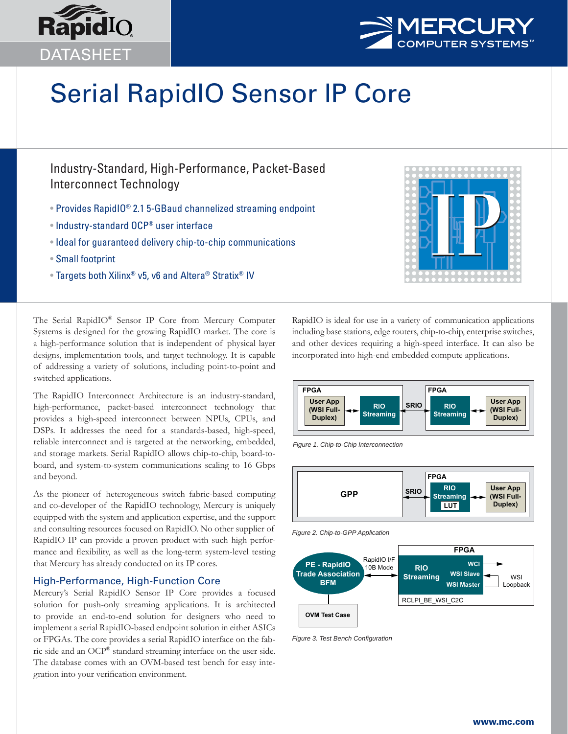



# Serial RapidIO Sensor IP Core

# Industry-Standard, High-Performance, Packet-Based Interconnect Technology

- Provides RapidIO® 2.1 5-GBaud channelized streaming endpoint
- Industry-standard OCP® user interface
- Ideal for guaranteed delivery chip-to-chip communications
- Small footprint
- Targets both Xilinx® v5, v6 and Altera® Stratix® IV



The Serial RapidIO® Sensor IP Core from Mercury Computer Systems is designed for the growing RapidIO market. The core is a high-performance solution that is independent of physical layer designs, implementation tools, and target technology. It is capable of addressing a variety of solutions, including point-to-point and switched applications.

The RapidIO Interconnect Architecture is an industry-standard, high-performance, packet-based interconnect technology that provides a high-speed interconnect between NPUs, CPUs, and DSPs. It addresses the need for a standards-based, high-speed, reliable interconnect and is targeted at the networking, embedded, and storage markets. Serial RapidIO allows chip-to-chip, board-toboard, and system-to-system communications scaling to 16 Gbps and beyond.

As the pioneer of heterogeneous switch fabric-based computing and co-developer of the RapidIO technology, Mercury is uniquely equipped with the system and application expertise, and the support and consulting resources focused on RapidIO. No other supplier of RapidIO IP can provide a proven product with such high performance and flexibility, as well as the long-term system-level testing that Mercury has already conducted on its IP cores.

#### High-Performance, High-Function Core

Mercury's Serial RapidIO Sensor IP Core provides a focused solution for push-only streaming applications. It is architected to provide an end-to-end solution for designers who need to implement a serial RapidIO-based endpoint solution in either ASICs or FPGAs. The core provides a serial RapidIO interface on the fabric side and an OCP® standard streaming interface on the user side. The database comes with an OVM-based test bench for easy integration into your verification environment.

RapidIO is ideal for use in a variety of communication applications including base stations, edge routers, chip-to-chip, enterprise switches, and other devices requiring a high-speed interface. It can also be incorporated into high-end embedded compute applications.



*Figure 1. Chip-to-Chip Interconnection*



*Figure 2. Chip-to-GPP Application*



**Figure 3. Test Bench Configuration**